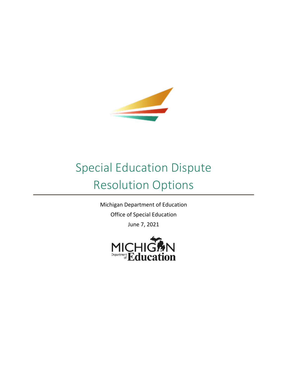

# Special Education Dispute Resolution Options

Michigan Department of Education Office of Special Education June 7, 2021

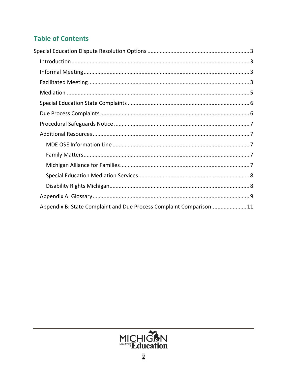# **Table of Contents**

| Appendix B: State Complaint and Due Process Complaint Comparison11 |  |
|--------------------------------------------------------------------|--|

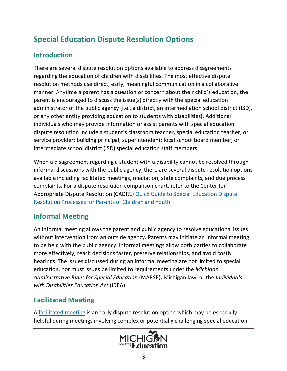# <span id="page-2-0"></span>**Special Education Dispute Resolution Options**

# <span id="page-2-1"></span>**Introduction**

There are several dispute resolution options available to address disagreements regarding the education of children with disabilities. The most effective dispute resolution methods use direct, early, meaningful communication in a collaborative manner. Anytime a parent has a question or concern about their child's education, the parent is encouraged to discuss the issue(s) directly with the special education administrator of the public agency (i.e., a district, an intermediation school district (ISD), or any other entity providing education to students with disabilities). Additional individuals who may provide information or assist parents with special education dispute resolution include a student's classroom teacher, special education teacher, or service provider; building principal; superintendent; local school board member; or intermediate school district (ISD) special education staff members.

When a disagreement regarding a student with a disability cannot be resolved through informal discussions with the public agency, there are several dispute resolution options available including facilitated meetings, mediation, state complaints, and due process complaints. For a dispute resolution comparison chart, refer to the Center for Appropriate Dispute Resolution (CADRE) [Quick Guide to Special Education Dispute](https://www.cadreworks.org/sites/default/files/resources/Dispute Resolution Process Comparison Chart.pdf)  [Resolution Processes for Parents of Children and Youth](https://www.cadreworks.org/sites/default/files/resources/Dispute Resolution Process Comparison Chart.pdf).

# <span id="page-2-2"></span>**Informal Meeting**

An informal meeting allows the parent and public agency to resolve educational issues without intervention from an outside agency. Parents may initiate an informal meeting to be held with the public agency. Informal meetings allow both parties to collaborate more effectively, reach decisions faster, preserve relationships, and avoid costly hearings. The issues discussed during an informal meeting are not limited to special education, nor must issues be limited to requirements under the *Michigan Administrative Rules for Special Education* (MARSE), Michigan law, or the *Individuals with Disabilities Education Act* (IDEA).

# <span id="page-2-3"></span>**Facilitated Meeting**

A [facilitated meeting](https://www.mikids1st.org/resolution-services/facilitation/) is an early dispute resolution option which may be especially helpful during meetings involving complex or potentially challenging special education

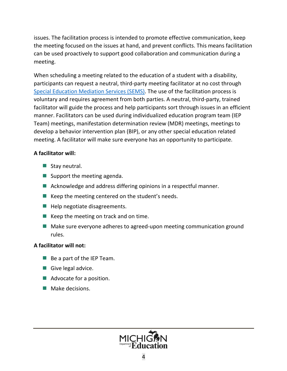issues. The facilitation process is intended to promote effective communication, keep the meeting focused on the issues at hand, and prevent conflicts. This means facilitation can be used proactively to support good collaboration and communication during a meeting.

When scheduling a meeting related to the education of a student with a disability, participants can request a neutral, third-party meeting facilitator at no cost through [Special Education Mediation Services \(SEMS\)](https://www.mikids1st.org/). The use of the facilitation process is voluntary and requires agreement from both parties. A neutral, third-party, trained facilitator will guide the process and help participants sort through issues in an efficient manner. Facilitators can be used during individualized education program team (IEP Team) meetings, manifestation determination review (MDR) meetings, meetings to develop a behavior intervention plan (BIP), or any other special education related meeting. A facilitator will make sure everyone has an opportunity to participate.

#### **A facilitator will:**

- $\blacksquare$  Stay neutral.
- Support the meeting agenda.
- Acknowledge and address differing opinions in a respectful manner.
- $\blacksquare$  Keep the meeting centered on the student's needs.
- $\blacksquare$  Help negotiate disagreements.
- $\blacksquare$  Keep the meeting on track and on time.
- Make sure everyone adheres to agreed-upon meeting communication ground rules.

## **A facilitator will not:**

- $\blacksquare$  Be a part of the IEP Team.
- Give legal advice.
- Advocate for a position.
- Make decisions.

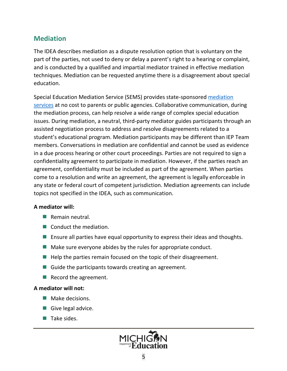## <span id="page-4-0"></span>**Mediation**

The IDEA describes mediation as a dispute resolution option that is voluntary on the part of the parties, not used to deny or delay a parent's right to a hearing or complaint, and is conducted by a qualified and impartial mediator trained in effective mediation techniques. Mediation can be requested anytime there is a disagreement about special education.

Special Education Mediation Service (SEMS) provides state-sponsored [mediation](https://www.mikids1st.org/resolution-services/mediation/) services at no cost to parents or public agencies. Collaborative communication, during the mediation process, can help resolve a wide range of complex special education issues. During mediation, a neutral, third-party mediator guides participants through an assisted negotiation process to address and resolve disagreements related to a student's educational program. Mediation participants may be different than IEP Team members. Conversations in mediation are confidential and cannot be used as evidence in a due process hearing or other court proceedings. Parties are not required to sign a confidentiality agreement to participate in mediation. However, if the parties reach an agreement, confidentiality must be included as part of the agreement. When parties come to a resolution and write an agreement, the agreement is legally enforceable in any state or federal court of competent jurisdiction. Mediation agreements can include topics not specified in the IDEA, such as communication.

#### **A mediator will:**

- $\blacksquare$  Remain neutral.
- Conduct the mediation.
- **E** Ensure all parties have equal opportunity to express their ideas and thoughts.
- $\blacksquare$  Make sure everyone abides by the rules for appropriate conduct.
- $\blacksquare$  Help the parties remain focused on the topic of their disagreement.
- $\blacksquare$  Guide the participants towards creating an agreement.
- Record the agreement.

#### **A mediator will not:**

- Make decisions.
- Give legal advice.
- $\blacksquare$  Take sides.

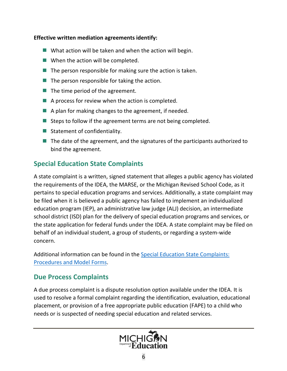#### **Effective written mediation agreements identify:**

- $\blacksquare$  What action will be taken and when the action will begin.
- $\blacksquare$  When the action will be completed.
- $\blacksquare$  The person responsible for making sure the action is taken.
- $\blacksquare$  The person responsible for taking the action.
- $\blacksquare$  The time period of the agreement.
- $\blacksquare$  A process for review when the action is completed.
- $\blacksquare$  A plan for making changes to the agreement, if needed.
- Steps to follow if the agreement terms are not being completed.
- Statement of confidentiality.
- $\blacksquare$  The date of the agreement, and the signatures of the participants authorized to bind the agreement.

## <span id="page-5-0"></span>**Special Education State Complaints**

A state complaint is a written, signed statement that alleges a public agency has violated the requirements of the IDEA, the MARSE, or the Michigan Revised School Code, as it pertains to special education programs and services. Additionally, a state complaint may be filed when it is believed a public agency has failed to implement an individualized education program (IEP), an administrative law judge (ALJ) decision, an intermediate school district (ISD) plan for the delivery of special education programs and services, or the state application for federal funds under the IDEA. A state complaint may be filed on behalf of an individual student, a group of students, or regarding a system-wide concern.

Additional information can be found in the [Special Education State Complaints:](https://www.michigan.gov/documents/mde/StateComplaints_ProceduresModelForms_727396_7.pdf)  [Procedures and Model Forms](https://www.michigan.gov/documents/mde/StateComplaints_ProceduresModelForms_727396_7.pdf).

## <span id="page-5-1"></span>**Due Process Complaints**

A due process complaint is a dispute resolution option available under the IDEA. It is used to resolve a formal complaint regarding the identification, evaluation, educational placement, or provision of a free appropriate public education (FAPE) to a child who needs or is suspected of needing special education and related services.

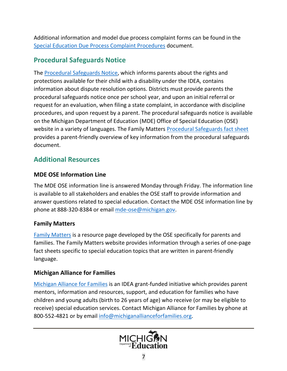Additional information and model due process complaint forms can be found in the [Special Education Due Process Complaint Procedures](https://www.michigan.gov/documents/mde/DueProcess_Complaint_Procedures_340126_7.pdf) document.

## <span id="page-6-0"></span>**Procedural Safeguards Notice**

The [Procedural Safeguards Notice,](https://www.michigan.gov/documents/mde/Procedural_Safeguards_Notice_550307_7.pdf) which informs parents about the rights and protections available for their child with a disability under the IDEA, contains information about dispute resolution options. Districts must provide parents the procedural safeguards notice once per school year, and upon an initial referral or request for an evaluation, when filing a state complaint, in accordance with discipline procedures, and upon request by a parent. The procedural safeguards notice is available on the Michigan Department of Education (MDE) Office of Special Education (OSE) website in a variety of languages. The Family Matters [Procedural Safeguards fact sheet](https://www.michigan.gov/documents/mde/Safeguards_FactSheet_599179_7.pdf) provides a parent-friendly overview of key information from the procedural safeguards document.

## <span id="page-6-1"></span>**Additional Resources**

## <span id="page-6-2"></span>**MDE OSE Information Line**

The MDE OSE information line is answered Monday through Friday. The information line is available to all stakeholders and enables the OSE staff to provide information and answer questions related to special education. Contact the MDE OSE information line by phone at 888-320-8384 or email [mde-ose@michigan.gov](mailto:mde-ose@michigan.gov).

## <span id="page-6-3"></span>**Family Matters**

[Family Matters](https://www.michigan.gov/mde/0,4615,7-140-6598_88187_81739-425428--,00.html) is a resource page developed by the OSE specifically for parents and families. The Family Matters website provides information through a series of one-page fact sheets specific to special education topics that are written in parent-friendly language.

## <span id="page-6-4"></span>**Michigan Alliance for Families**

[Michigan Alliance for Families](https://www.michiganallianceforfamilies.org/) is an IDEA grant-funded initiative which provides parent mentors, information and resources, support, and education for families who have children and young adults (birth to 26 years of age) who receive (or may be eligible to receive) special education services. Contact Michigan Alliance for Families by phone at 800-552-4821 or by email [info@michiganallianceforfamilies.org](mailto:info@michiganallianceforfamilies.org).

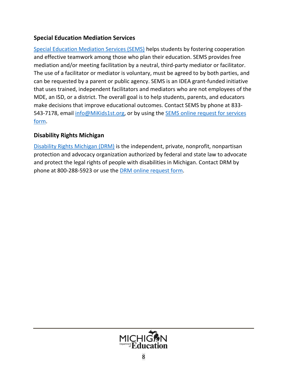## <span id="page-7-0"></span>**Special Education Mediation Services**

[Special Education Mediation Services \(SEMS\)](https://www.mikids1st.org/) helps students by fostering cooperation and effective teamwork among those who plan their education. SEMS provides free mediation and/or meeting facilitation by a neutral, third-party mediator or facilitator. The use of a facilitator or mediator is voluntary, must be agreed to by both parties, and can be requested by a parent or public agency. SEMS is an IDEA grant-funded initiative that uses trained, independent facilitators and mediators who are not employees of the MDE, an ISD, or a district. The overall goal is to help students, parents, and educators make decisions that improve educational outcomes. Contact SEMS by phone at 833 543-7178, email [info@MiKids1st.org,](mailto:info@MiKids1st.org) or by using the **SEMS** online request for services [form.](https://www.mikids1st.org/request-services/)

## <span id="page-7-1"></span>**Disability Rights Michigan**

[Disability Rights Michigan \(DRM\)](https://www.drmich.org/) is the independent, private, nonprofit, nonpartisan protection and advocacy organization authorized by federal and state law to advocate and protect the legal rights of people with disabilities in Michigan. Contact DRM by phone at 800-288-5923 or use the [DRM online request form](https://www.drmich.org/contact/).

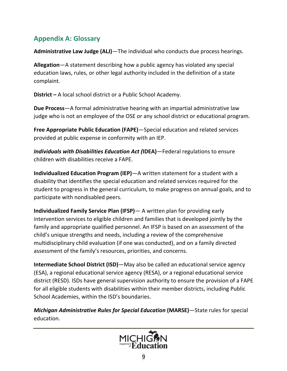# <span id="page-8-0"></span>**Appendix A: Glossary**

**Administrative Law Judge (ALJ)**—The individual who conducts due process hearings.

**Allegation**—A statement describing how a public agency has violated any special education laws, rules, or other legal authority included in the definition of a state complaint.

**District –** A local school district or a Public School Academy.

**Due Process**—A formal administrative hearing with an impartial administrative law judge who is not an employee of the OSE or any school district or educational program.

**Free Appropriate Public Education (FAPE)**—Special education and related services provided at public expense in conformity with an IEP.

*Individuals with Disabilities Education Act (***IDEA)**—Federal regulations to ensure children with disabilities receive a FAPE.

**Individualized Education Program (IEP)**—A written statement for a student with a disability that identifies the special education and related services required for the student to progress in the general curriculum, to make progress on annual goals, and to participate with nondisabled peers.

**Individualized Family Service Plan (IFSP)**— A written plan for providing early intervention services to eligible children and families that is developed jointly by the family and appropriate qualified personnel. An IFSP is based on an assessment of the child's unique strengths and needs, including a review of the comprehensive multidisciplinary child evaluation (if one was conducted), and on a family directed assessment of the family's resources, priorities, and concerns.

**Intermediate School District (ISD)**—May also be called an educational service agency (ESA), a regional educational service agency (RESA), or a regional educational service district (RESD). ISDs have general supervision authority to ensure the provision of a FAPE for all eligible students with disabilities within their member districts, including Public School Academies, within the ISD's boundaries.

*Michigan Administrative Rules for Special Education* **(MARSE)**—State rules for special education.

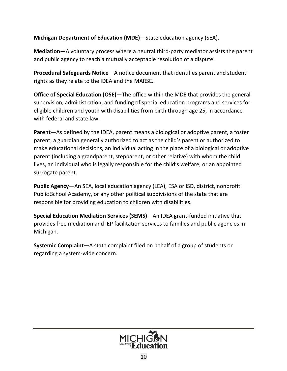**Michigan Department of Education (MDE)**—State education agency (SEA).

**Mediation**—A voluntary process where a neutral third-party mediator assists the parent and public agency to reach a mutually acceptable resolution of a dispute.

**Procedural Safeguards Notice**—A notice document that identifies parent and student rights as they relate to the IDEA and the MARSE*.*

**Office of Special Education (OSE)**—The office within the MDE that provides the general supervision, administration, and funding of special education programs and services for eligible children and youth with disabilities from birth through age 25, in accordance with federal and state law.

**Parent**—As defined by the IDEA, parent means a biological or adoptive parent, a foster parent, a guardian generally authorized to act as the child's parent or authorized to make educational decisions, an individual acting in the place of a biological or adoptive parent (including a grandparent, stepparent, or other relative) with whom the child lives, an individual who is legally responsible for the child's welfare, or an appointed surrogate parent.

**Public Agency**—An SEA, local education agency (LEA), ESA or ISD, district, nonprofit Public School Academy, or any other political subdivisions of the state that are responsible for providing education to children with disabilities.

**Special Education Mediation Services (SEMS)**—An IDEA grant-funded initiative that provides free mediation and IEP facilitation services to families and public agencies in Michigan.

**Systemic Complaint**—A state complaint filed on behalf of a group of students or regarding a system-wide concern.

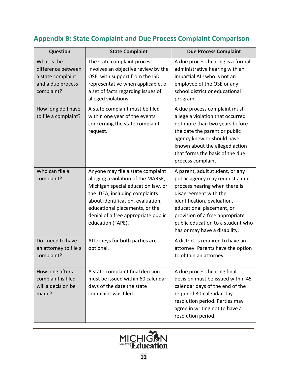# <span id="page-10-0"></span>**Appendix B: State Complaint and Due Process Complaint Comparison**

| Question                                                                                  | <b>State Complaint</b>                                                                                                                                                                                                                                                             | <b>Due Process Complaint</b>                                                                                                                                                                                                                                                                      |
|-------------------------------------------------------------------------------------------|------------------------------------------------------------------------------------------------------------------------------------------------------------------------------------------------------------------------------------------------------------------------------------|---------------------------------------------------------------------------------------------------------------------------------------------------------------------------------------------------------------------------------------------------------------------------------------------------|
| What is the<br>difference between<br>a state complaint<br>and a due process<br>complaint? | The state complaint process<br>involves an objective review by the<br>OSE, with support from the ISD<br>representative when applicable, of<br>a set of facts regarding issues of<br>alleged violations.                                                                            | A due process hearing is a formal<br>administrative hearing with an<br>impartial ALJ who is not an<br>employee of the OSE or any<br>school district or educational<br>program.                                                                                                                    |
| How long do I have<br>to file a complaint?                                                | A state complaint must be filed<br>within one year of the events<br>concerning the state complaint<br>request.                                                                                                                                                                     | A due process complaint must<br>allege a violation that occurred<br>not more than two years before<br>the date the parent or public<br>agency knew or should have<br>known about the alleged action<br>that forms the basis of the due<br>process complaint.                                      |
| Who can file a<br>complaint?                                                              | Anyone may file a state complaint<br>alleging a violation of the MARSE,<br>Michigan special education law, or<br>the IDEA, including complaints<br>about identification, evaluation,<br>educational placements, or the<br>denial of a free appropriate public<br>education (FAPE). | A parent, adult student, or any<br>public agency may request a due<br>process hearing when there is<br>disagreement with the<br>identification, evaluation,<br>educational placement, or<br>provision of a free appropriate<br>public education to a student who<br>has or may have a disability. |
| Do I need to have<br>an attorney to file a<br>complaint?                                  | Attorneys for both parties are<br>optional.                                                                                                                                                                                                                                        | A district is required to have an<br>attorney. Parents have the option<br>to obtain an attorney.                                                                                                                                                                                                  |
| How long after a<br>complaint is filed<br>will a decision be<br>made?                     | A state complaint final decision<br>must be issued within 60 calendar<br>days of the date the state<br>complaint was filed.                                                                                                                                                        | A due process hearing final<br>decision must be issued within 45<br>calendar days of the end of the<br>required 30-calendar-day<br>resolution period. Parties may<br>agree in writing not to have a<br>resolution period.                                                                         |

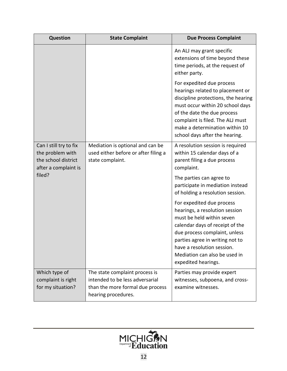| <b>Question</b>                                                                           | <b>State Complaint</b>                                                                                                       | <b>Due Process Complaint</b>                                                                                                                                                                                                                                                          |
|-------------------------------------------------------------------------------------------|------------------------------------------------------------------------------------------------------------------------------|---------------------------------------------------------------------------------------------------------------------------------------------------------------------------------------------------------------------------------------------------------------------------------------|
|                                                                                           |                                                                                                                              | An ALJ may grant specific<br>extensions of time beyond these<br>time periods, at the request of<br>either party.                                                                                                                                                                      |
|                                                                                           |                                                                                                                              | For expedited due process<br>hearings related to placement or<br>discipline protections, the hearing<br>must occur within 20 school days<br>of the date the due process<br>complaint is filed. The ALJ must<br>make a determination within 10<br>school days after the hearing.       |
| Can I still try to fix<br>the problem with<br>the school district<br>after a complaint is | Mediation is optional and can be<br>used either before or after filing a<br>state complaint.                                 | A resolution session is required<br>within 15 calendar days of a<br>parent filing a due process<br>complaint.                                                                                                                                                                         |
| filed?                                                                                    |                                                                                                                              | The parties can agree to<br>participate in mediation instead<br>of holding a resolution session.                                                                                                                                                                                      |
|                                                                                           |                                                                                                                              | For expedited due process<br>hearings, a resolution session<br>must be held within seven<br>calendar days of receipt of the<br>due process complaint, unless<br>parties agree in writing not to<br>have a resolution session.<br>Mediation can also be used in<br>expedited hearings. |
| Which type of<br>complaint is right<br>for my situation?                                  | The state complaint process is<br>intended to be less adversarial<br>than the more formal due process<br>hearing procedures. | Parties may provide expert<br>witnesses, subpoena, and cross-<br>examine witnesses.                                                                                                                                                                                                   |